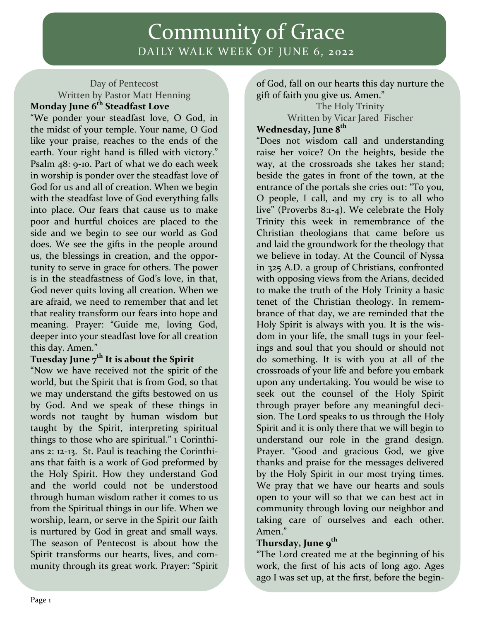## Community of Grace DAILY WALK WEEK OF JUNE 6, 2022

#### Day of Pentecost Written by Pastor Matt Henning **Monday June 6th Steadfast Love**

"We ponder your steadfast love, O God, in the midst of your temple. Your name, O God like your praise, reaches to the ends of the earth. Your right hand is filled with victory." Psalm 48: 9-10. Part of what we do each week in worship is ponder over the steadfast love of God for us and all of creation. When we begin with the steadfast love of God everything falls into place. Our fears that cause us to make poor and hurtful choices are placed to the side and we begin to see our world as God does. We see the gifts in the people around us, the blessings in creation, and the opportunity to serve in grace for others. The power is in the steadfastness of God's love, in that, God never quits loving all creation. When we are afraid, we need to remember that and let that reality transform our fears into hope and meaning. Prayer: "Guide me, loving God, deeper into your steadfast love for all creation this day. Amen."

#### **Tuesday June 7th It is about the Spirit**

"Now we have received not the spirit of the world, but the Spirit that is from God, so that we may understand the gifts bestowed on us by God. And we speak of these things in words not taught by human wisdom but taught by the Spirit, interpreting spiritual things to those who are spiritual." 1 Corinthians 2: 12-13. St. Paul is teaching the Corinthians that faith is a work of God preformed by the Holy Spirit. How they understand God and the world could not be understood through human wisdom rather it comes to us from the Spiritual things in our life. When we worship, learn, or serve in the Spirit our faith is nurtured by God in great and small ways. The season of Pentecost is about how the Spirit transforms our hearts, lives, and community through its great work. Prayer: "Spirit

of God, fall on our hearts this day nurture the gift of faith you give us. Amen."

The Holy Trinity Written by Vicar Jared Fischer **Wednesday, June 8th** 

"Does not wisdom call and understanding raise her voice? On the heights, beside the way, at the crossroads she takes her stand; beside the gates in front of the town, at the entrance of the portals she cries out: "To you, O people, I call, and my cry is to all who live" (Proverbs 8:1-4). We celebrate the Holy Trinity this week in remembrance of the Christian theologians that came before us and laid the groundwork for the theology that we believe in today. At the Council of Nyssa in 325 A.D. a group of Christians, confronted with opposing views from the Arians, decided to make the truth of the Holy Trinity a basic tenet of the Christian theology. In remembrance of that day, we are reminded that the Holy Spirit is always with you. It is the wisdom in your life, the small tugs in your feelings and soul that you should or should not do something. It is with you at all of the crossroads of your life and before you embark upon any undertaking. You would be wise to seek out the counsel of the Holy Spirit through prayer before any meaningful decision. The Lord speaks to us through the Holy Spirit and it is only there that we will begin to understand our role in the grand design. Prayer. "Good and gracious God, we give thanks and praise for the messages delivered by the Holy Spirit in our most trying times. We pray that we have our hearts and souls open to your will so that we can best act in community through loving our neighbor and taking care of ourselves and each other. Amen."

### **Thursday, June 9th**

"The Lord created me at the beginning of his work, the first of his acts of long ago. Ages ago I was set up, at the first, before the begin-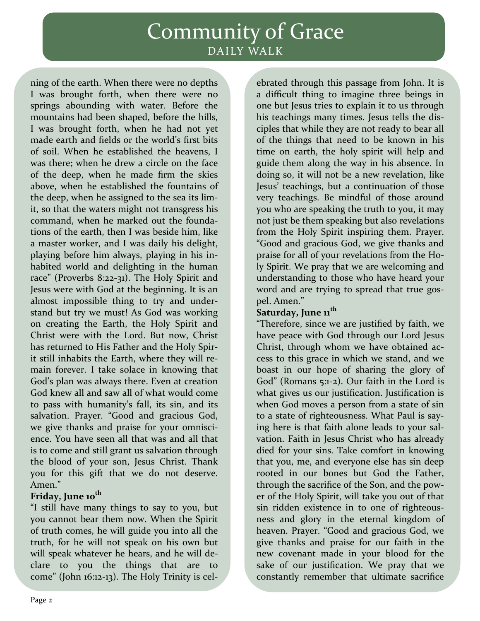# Community of Grace DAILY WALK

ning of the earth. When there were no depths I was brought forth, when there were no springs abounding with water. Before the mountains had been shaped, before the hills, I was brought forth, when he had not yet made earth and fields or the world's first bits of soil. When he established the heavens, I was there; when he drew a circle on the face of the deep, when he made firm the skies above, when he established the fountains of the deep, when he assigned to the sea its limit, so that the waters might not transgress his command, when he marked out the foundations of the earth, then I was beside him, like a master worker, and I was daily his delight, playing before him always, playing in his inhabited world and delighting in the human race" (Proverbs 8:22-31). The Holy Spirit and Jesus were with God at the beginning. It is an almost impossible thing to try and understand but try we must! As God was working on creating the Earth, the Holy Spirit and Christ were with the Lord. But now, Christ has returned to His Father and the Holy Spirit still inhabits the Earth, where they will remain forever. I take solace in knowing that God's plan was always there. Even at creation God knew all and saw all of what would come to pass with humanity's fall, its sin, and its salvation. Prayer. "Good and gracious God, we give thanks and praise for your omniscience. You have seen all that was and all that is to come and still grant us salvation through the blood of your son, Jesus Christ. Thank you for this gift that we do not deserve. Amen."

#### **Friday, June 10th**

"I still have many things to say to you, but you cannot bear them now. When the Spirit of truth comes, he will guide you into all the truth, for he will not speak on his own but will speak whatever he hears, and he will declare to you the things that are to come" (John 16:12-13). The Holy Trinity is cel-

ebrated through this passage from John. It is a difficult thing to imagine three beings in one but Jesus tries to explain it to us through his teachings many times. Jesus tells the disciples that while they are not ready to bear all of the things that need to be known in his time on earth, the holy spirit will help and guide them along the way in his absence. In doing so, it will not be a new revelation, like Jesus' teachings, but a continuation of those very teachings. Be mindful of those around you who are speaking the truth to you, it may not just be them speaking but also revelations from the Holy Spirit inspiring them. Prayer. "Good and gracious God, we give thanks and praise for all of your revelations from the Holy Spirit. We pray that we are welcoming and understanding to those who have heard your word and are trying to spread that true gospel. Amen."

### **Saturday, June 11th**

"Therefore, since we are justified by faith, we have peace with God through our Lord Jesus Christ, through whom we have obtained access to this grace in which we stand, and we boast in our hope of sharing the glory of God" (Romans 5:1-2). Our faith in the Lord is what gives us our justification. Justification is when God moves a person from a state of sin to a state of righteousness. What Paul is saying here is that faith alone leads to your salvation. Faith in Jesus Christ who has already died for your sins. Take comfort in knowing that you, me, and everyone else has sin deep rooted in our bones but God the Father, through the sacrifice of the Son, and the power of the Holy Spirit, will take you out of that sin ridden existence in to one of righteousness and glory in the eternal kingdom of heaven. Prayer. "Good and gracious God, we give thanks and praise for our faith in the new covenant made in your blood for the sake of our justification. We pray that we constantly remember that ultimate sacrifice